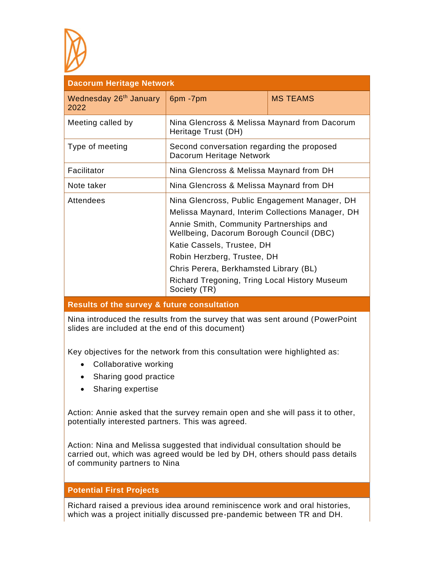

| <b>Dacorum Heritage Network</b>            |                                                                                                                                                                                                                                                                                                                                                                  |                 |  |  |
|--------------------------------------------|------------------------------------------------------------------------------------------------------------------------------------------------------------------------------------------------------------------------------------------------------------------------------------------------------------------------------------------------------------------|-----------------|--|--|
| Wednesday 26 <sup>th</sup> January<br>2022 | 6pm-7pm                                                                                                                                                                                                                                                                                                                                                          | <b>MS TEAMS</b> |  |  |
| Meeting called by                          | Nina Glencross & Melissa Maynard from Dacorum<br>Heritage Trust (DH)                                                                                                                                                                                                                                                                                             |                 |  |  |
| Type of meeting                            | Second conversation regarding the proposed<br>Dacorum Heritage Network                                                                                                                                                                                                                                                                                           |                 |  |  |
| Facilitator                                | Nina Glencross & Melissa Maynard from DH                                                                                                                                                                                                                                                                                                                         |                 |  |  |
| Note taker                                 | Nina Glencross & Melissa Maynard from DH                                                                                                                                                                                                                                                                                                                         |                 |  |  |
| Attendees                                  | Nina Glencross, Public Engagement Manager, DH<br>Melissa Maynard, Interim Collections Manager, DH<br>Annie Smith, Community Partnerships and<br>Wellbeing, Dacorum Borough Council (DBC)<br>Katie Cassels, Trustee, DH<br>Robin Herzberg, Trustee, DH<br>Chris Perera, Berkhamsted Library (BL)<br>Richard Tregoning, Tring Local History Museum<br>Society (TR) |                 |  |  |

## **Results of the survey & future consultation**

Nina introduced the results from the survey that was sent around (PowerPoint slides are included at the end of this document)

Key objectives for the network from this consultation were highlighted as:

- Collaborative working
- Sharing good practice
- Sharing expertise

Action: Annie asked that the survey remain open and she will pass it to other, potentially interested partners. This was agreed.

Action: Nina and Melissa suggested that individual consultation should be carried out, which was agreed would be led by DH, others should pass details of community partners to Nina

### **Potential First Projects**

Richard raised a previous idea around reminiscence work and oral histories, which was a project initially discussed pre-pandemic between TR and DH.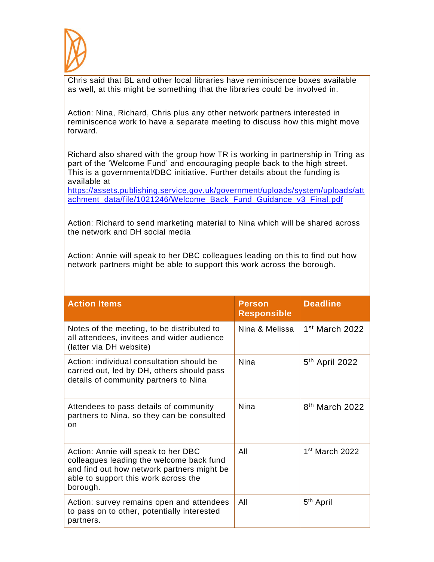

Chris said that BL and other local libraries have reminiscence boxes available as well, at this might be something that the libraries could be involved in.

Action: Nina, Richard, Chris plus any other network partners interested in reminiscence work to have a separate meeting to discuss how this might move forward.

Richard also shared with the group how TR is working in partnership in Tring as part of the 'Welcome Fund' and encouraging people back to the high street. This is a governmental/DBC initiative. Further details about the funding is available at

[https://assets.publishing.service.gov.uk/government/uploads/system/uploads/att](https://assets.publishing.service.gov.uk/government/uploads/system/uploads/attachment_data/file/1021246/Welcome_Back_Fund_Guidance_v3_Final.pdf) [achment\\_data/file/1021246/Welcome\\_Back\\_Fund\\_Guidance\\_v3\\_Final.pdf](https://assets.publishing.service.gov.uk/government/uploads/system/uploads/attachment_data/file/1021246/Welcome_Back_Fund_Guidance_v3_Final.pdf)

Action: Richard to send marketing material to Nina which will be shared across the network and DH social media

Action: Annie will speak to her DBC colleagues leading on this to find out how network partners might be able to support this work across the borough.

| <b>Action Items</b>                                                                                                                                                               | <b>Person</b><br><b>Responsible</b> | <b>Deadline</b>            |
|-----------------------------------------------------------------------------------------------------------------------------------------------------------------------------------|-------------------------------------|----------------------------|
| Notes of the meeting, to be distributed to<br>all attendees, invitees and wider audience<br>(latter via DH website)                                                               | Nina & Melissa                      | $1st$ March 2022           |
| Action: individual consultation should be<br>carried out, led by DH, others should pass<br>details of community partners to Nina                                                  | <b>Nina</b>                         | 5 <sup>th</sup> April 2022 |
| Attendees to pass details of community<br>partners to Nina, so they can be consulted<br>on                                                                                        | Nina                                | 8 <sup>th</sup> March 2022 |
| Action: Annie will speak to her DBC<br>colleagues leading the welcome back fund<br>and find out how network partners might be<br>able to support this work across the<br>borough. | All                                 | 1 <sup>st</sup> March 2022 |
| Action: survey remains open and attendees<br>to pass on to other, potentially interested<br>partners.                                                                             | All                                 | 5 <sup>th</sup> April      |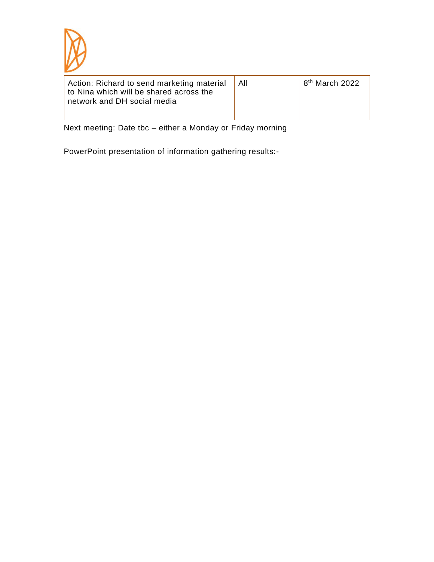

| Action: Richard to send marketing material<br>to Nina which will be shared across the<br>network and DH social media | l All | $^{\prime}$ 8 <sup>th</sup> March 2022 |
|----------------------------------------------------------------------------------------------------------------------|-------|----------------------------------------|
|----------------------------------------------------------------------------------------------------------------------|-------|----------------------------------------|

Next meeting: Date tbc – either a Monday or Friday morning

PowerPoint presentation of information gathering results:-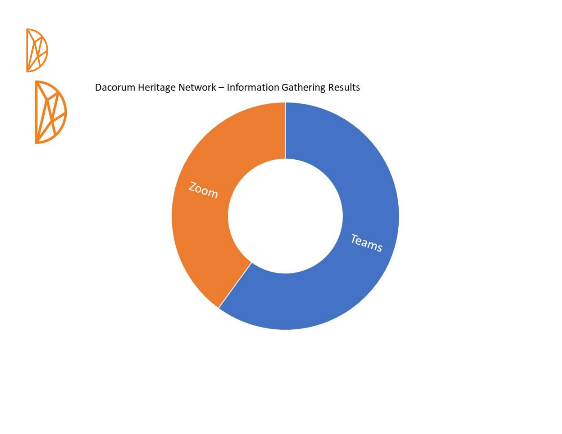



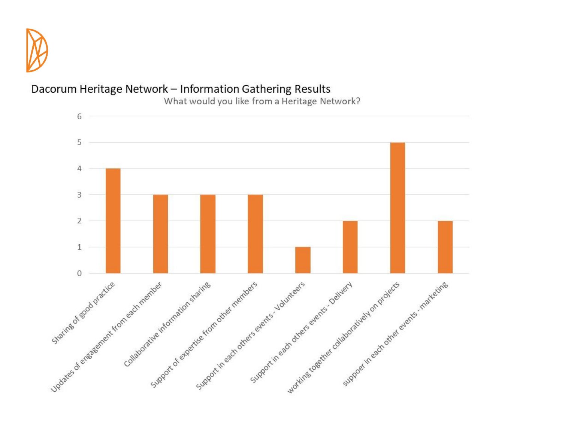



What would you like from a Heritage Network?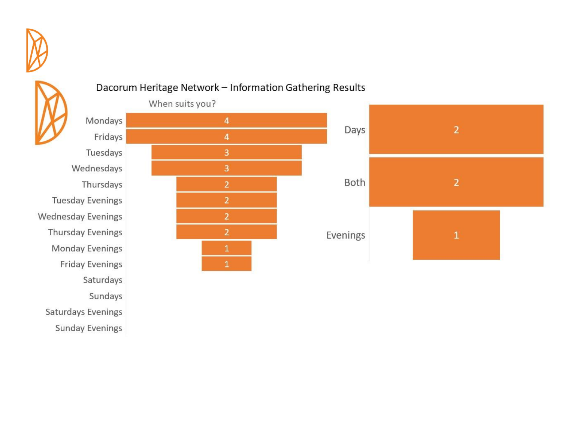

# Fridays Tuesdays Wednesdays Thursdays **Tuesday Evenings Wednesday Evenings** Thursday Evenings **Monday Evenings Friday Evenings** Saturdays Sundays Saturdays Evenings **Sunday Evenings**

# Dacorum Heritage Network - Information Gathering Results



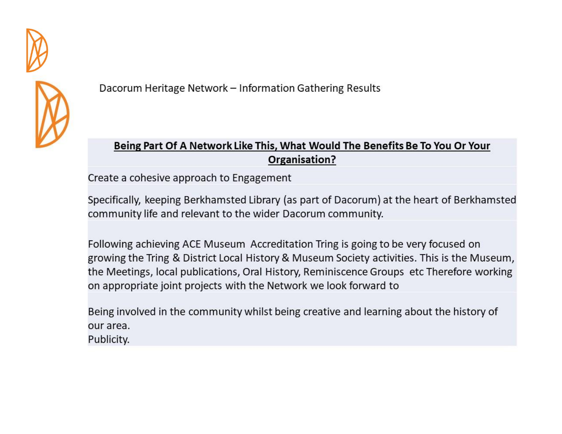



# Being Part Of A Network Like This, What Would The Benefits Be To You Or Your Organisation?

Create a cohesive approach to Engagement

Specifically, keeping Berkhamsted Library (as part of Dacorum) at the heart of Berkhamsted community life and relevant to the wider Dacorum community.

Following achieving ACE Museum Accreditation Tring is going to be very focused on growing the Tring & District Local History & Museum Society activities. This is the Museum, the Meetings, local publications, Oral History, Reminiscence Groups etc Therefore working on appropriate joint projects with the Network we look forward to

Being involved in the community whilst being creative and learning about the history of our area. Publicity.